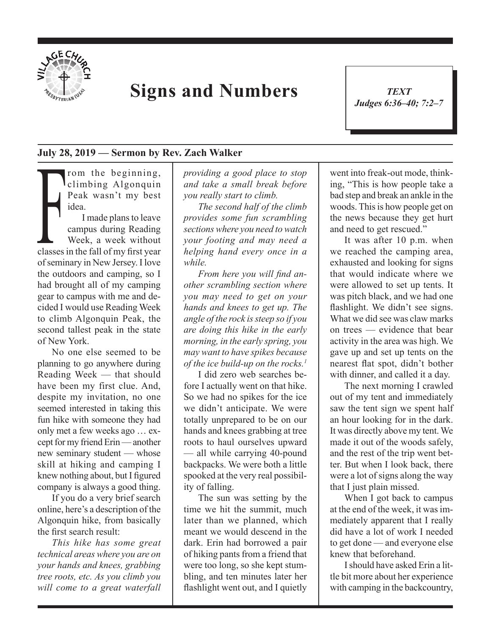

## **Signs and Numbers**

*TEXT Judges 6:36–40; 7:2–7* 1

## **July 28, 2019 — Sermon by Rev. Zach Walker**

rom the beginning, climbing Algonquin Peak wasn't my best idea.

I dea.<br>
I made plans to leave<br>
campus during Reading<br>
Week, a week without<br>
classes in the fall of my first year I made plans to leave campus during Reading Week, a week without of seminary in New Jersey. I love the outdoors and camping, so I had brought all of my camping gear to campus with me and decided I would use Reading Week to climb Algonquin Peak, the second tallest peak in the state of New York.

No one else seemed to be planning to go anywhere during Reading Week — that should have been my first clue. And, despite my invitation, no one seemed interested in taking this fun hike with someone they had only met a few weeks ago … except for my friend Erin — another new seminary student — whose skill at hiking and camping I knew nothing about, but I figured company is always a good thing.

If you do a very brief search online, here's a description of the Algonquin hike, from basically the first search result:

*This hike has some great technical areas where you are on your hands and knees, grabbing tree roots, etc. As you climb you will come to a great waterfall* 

*providing a good place to stop and take a small break before you really start to climb.* 

*The second half of the climb provides some fun scrambling sections where you need to watch your footing and may need a helping hand every once in a while.*

*From here you will find another scrambling section where you may need to get on your hands and knees to get up. The angle of the rock is steep so if you are doing this hike in the early morning, in the early spring, you may want to have spikes because of the ice build-up on the rocks.1*

I did zero web searches before I actually went on that hike. So we had no spikes for the ice we didn't anticipate. We were totally unprepared to be on our hands and knees grabbing at tree roots to haul ourselves upward — all while carrying 40-pound backpacks. We were both a little spooked at the very real possibility of falling.

The sun was setting by the time we hit the summit, much later than we planned, which meant we would descend in the dark. Erin had borrowed a pair of hiking pants from a friend that were too long, so she kept stumbling, and ten minutes later her flashlight went out, and I quietly went into freak-out mode, thinking, "This is how people take a bad step and break an ankle in the woods. This is how people get on the news because they get hurt and need to get rescued."

It was after 10 p.m. when we reached the camping area, exhausted and looking for signs that would indicate where we were allowed to set up tents. It was pitch black, and we had one flashlight. We didn't see signs. What we did see was claw marks on trees — evidence that bear activity in the area was high. We gave up and set up tents on the nearest flat spot, didn't bother with dinner, and called it a day.

The next morning I crawled out of my tent and immediately saw the tent sign we spent half an hour looking for in the dark. It was directly above my tent. We made it out of the woods safely, and the rest of the trip went better. But when I look back, there were a lot of signs along the way that I just plain missed.

When I got back to campus at the end of the week, it was immediately apparent that I really did have a lot of work I needed to get done — and everyone else knew that beforehand.

I should have asked Erin a little bit more about her experience with camping in the backcountry,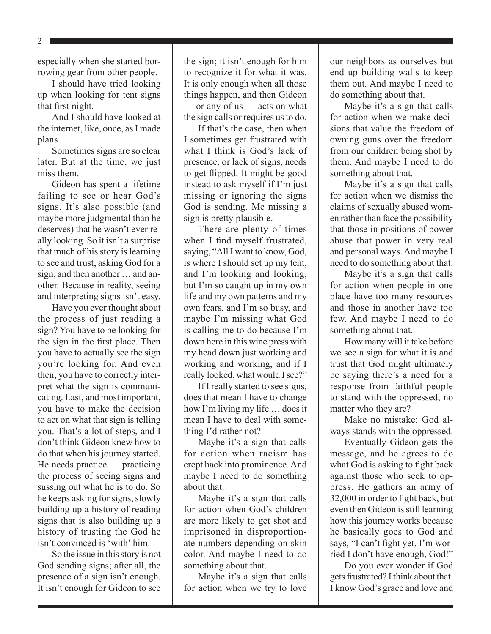2

especially when she started borrowing gear from other people.

I should have tried looking up when looking for tent signs that first night.

And I should have looked at the internet, like, once, as I made plans.

Sometimes signs are so clear later. But at the time, we just miss them.

Gideon has spent a lifetime failing to see or hear God's signs. It's also possible (and maybe more judgmental than he deserves) that he wasn't ever really looking. So it isn't a surprise that much of his story is learning to see and trust, asking God for a sign, and then another … and another. Because in reality, seeing and interpreting signs isn't easy.

Have you ever thought about the process of just reading a sign? You have to be looking for the sign in the first place. Then you have to actually see the sign you're looking for. And even then, you have to correctly interpret what the sign is communicating. Last, and most important, you have to make the decision to act on what that sign is telling you. That's a lot of steps, and I don't think Gideon knew how to do that when his journey started. He needs practice — practicing the process of seeing signs and sussing out what he is to do. So he keeps asking for signs, slowly building up a history of reading signs that is also building up a history of trusting the God he isn't convinced is 'with' him.

So the issue in this story is not God sending signs; after all, the presence of a sign isn't enough. It isn't enough for Gideon to see

the sign; it isn't enough for him to recognize it for what it was. It is only enough when all those things happen, and then Gideon — or any of us — acts on what the sign calls or requires us to do.

If that's the case, then when I sometimes get frustrated with what I think is God's lack of presence, or lack of signs, needs to get flipped. It might be good instead to ask myself if I'm just missing or ignoring the signs God is sending. Me missing a sign is pretty plausible.

There are plenty of times when I find myself frustrated, saying, "All I want to know, God, is where I should set up my tent, and I'm looking and looking, but I'm so caught up in my own life and my own patterns and my own fears, and I'm so busy, and maybe I'm missing what God is calling me to do because I'm down here in this wine press with my head down just working and working and working, and if I really looked, what would I see?"

If I really started to see signs, does that mean I have to change how I'm living my life … does it mean I have to deal with something I'd rather not?

Maybe it's a sign that calls for action when racism has crept back into prominence. And maybe I need to do something about that.

Maybe it's a sign that calls for action when God's children are more likely to get shot and imprisoned in disproportionate numbers depending on skin color. And maybe I need to do something about that.

Maybe it's a sign that calls for action when we try to love our neighbors as ourselves but end up building walls to keep them out. And maybe I need to do something about that.

Maybe it's a sign that calls for action when we make decisions that value the freedom of owning guns over the freedom from our children being shot by them. And maybe I need to do something about that.

Maybe it's a sign that calls for action when we dismiss the claims of sexually abused women rather than face the possibility that those in positions of power abuse that power in very real and personal ways. And maybe I need to do something about that.

Maybe it's a sign that calls for action when people in one place have too many resources and those in another have too few. And maybe I need to do something about that.

How many will it take before we see a sign for what it is and trust that God might ultimately be saying there's a need for a response from faithful people to stand with the oppressed, no matter who they are?

Make no mistake: God always stands with the oppressed.

Eventually Gideon gets the message, and he agrees to do what God is asking to fight back against those who seek to oppress. He gathers an army of 32,000 in order to fight back, but even then Gideon is still learning how this journey works because he basically goes to God and says, "I can't fight yet, I'm worried I don't have enough, God!"

Do you ever wonder if God gets frustrated? I think about that. I know God's grace and love and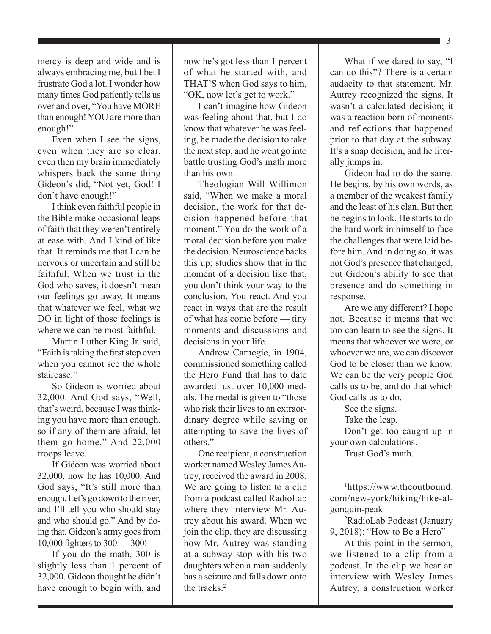mercy is deep and wide and is always embracing me, but I bet I frustrate God a lot. I wonder how many times God patiently tells us over and over, "You have MORE than enough! YOU are more than enough!"

Even when I see the signs, even when they are so clear, even then my brain immediately whispers back the same thing Gideon's did, "Not yet, God! I don't have enough!"

I think even faithful people in the Bible make occasional leaps of faith that they weren't entirely at ease with. And I kind of like that. It reminds me that I can be nervous or uncertain and still be faithful. When we trust in the God who saves, it doesn't mean our feelings go away. It means that whatever we feel, what we DO in light of those feelings is where we can be most faithful.

Martin Luther King Jr. said, "Faith is taking the first step even when you cannot see the whole staircase."

So Gideon is worried about 32,000. And God says, "Well, that's weird, because I was thinking you have more than enough, so if any of them are afraid, let them go home." And 22,000 troops leave.

If Gideon was worried about 32,000, now he has 10,000. And God says, "It's still more than enough. Let's go down to the river, and I'll tell you who should stay and who should go." And by doing that, Gideon's army goes from 10,000 fighters to 300 — 300!

If you do the math, 300 is slightly less than 1 percent of 32,000. Gideon thought he didn't have enough to begin with, and

now he's got less than 1 percent of what he started with, and THAT'S when God says to him, "OK, now let's get to work."

I can't imagine how Gideon was feeling about that, but I do know that whatever he was feeling, he made the decision to take the next step, and he went go into battle trusting God's math more than his own.

Theologian Will Willimon said, "When we make a moral decision, the work for that decision happened before that moment." You do the work of a moral decision before you make the decision. Neuroscience backs this up; studies show that in the moment of a decision like that, you don't think your way to the conclusion. You react. And you react in ways that are the result of what has come before — tiny moments and discussions and decisions in your life.

Andrew Carnegie, in 1904, commissioned something called the Hero Fund that has to date awarded just over 10,000 medals. The medal is given to "those who risk their lives to an extraordinary degree while saving or attempting to save the lives of others."

One recipient, a construction worker named Wesley James Autrey, received the award in 2008. We are going to listen to a clip from a podcast called RadioLab where they interview Mr. Autrey about his award. When we join the clip, they are discussing how Mr. Autrey was standing at a subway stop with his two daughters when a man suddenly has a seizure and falls down onto the tracks<sup>2</sup>

What if we dared to say, "I can do this"? There is a certain audacity to that statement. Mr. Autrey recognized the signs. It wasn't a calculated decision; it was a reaction born of moments and reflections that happened prior to that day at the subway. It's a snap decision, and he literally jumps in.

Gideon had to do the same. He begins, by his own words, as a member of the weakest family and the least of his clan. But then he begins to look. He starts to do the hard work in himself to face the challenges that were laid before him. And in doing so, it was not God's presence that changed, but Gideon's ability to see that presence and do something in response.

Are we any different? I hope not. Because it means that we too can learn to see the signs. It means that whoever we were, or whoever we are, we can discover God to be closer than we know. We can be the very people God calls us to be, and do that which God calls us to do.

See the signs.

Take the leap.

Don't get too caught up in your own calculations.

Trust God's math.

1 https://www.theoutbound. com/new-york/hiking/hike-algonquin-peak

2 RadioLab Podcast (January 9, 2018): "How to Be a Hero"

At this point in the sermon, we listened to a clip from a podcast. In the clip we hear an interview with Wesley James Autrey, a construction worker

 $\blacksquare$  3